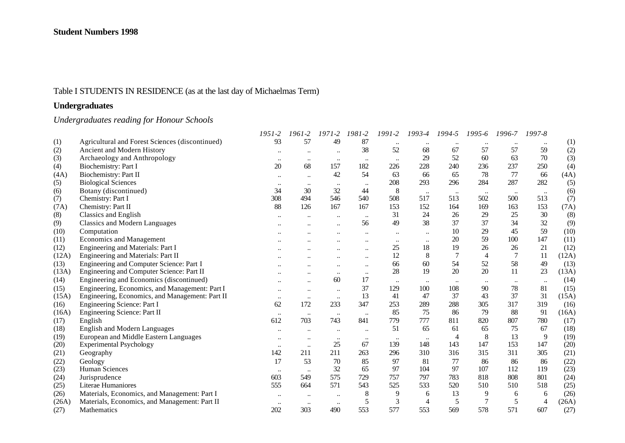# Table I STUDENTS IN RESIDENCE (as at the last day of Michaelmas Term)

# **Undergraduates**

# *Undergraduates reading for Honour Schools*

|       |                                                 | $1951 - 2$       | 1961-2               | $1971 - 2$ | 1981-2               | 1991-2    | 1993-4         | 1994-5         | $1995 - 6$     | 1996-7         | 1997-8         |       |
|-------|-------------------------------------------------|------------------|----------------------|------------|----------------------|-----------|----------------|----------------|----------------|----------------|----------------|-------|
| (1)   | Agricultural and Forest Sciences (discontinued) | 93               | 57                   | 49         | 87                   | $\ddotsc$ |                |                |                |                | $\ddotsc$      | (1)   |
| (2)   | Ancient and Modern History                      |                  |                      |            | 38                   | 52        | 68             | 67             | 57             | 57             | 59             | (2)   |
| (3)   | Archaeology and Anthropology                    | $\bullet\bullet$ | $\ddotsc$            | $\ddotsc$  | $\ldots$             | $\ddotsc$ | 29             | 52             | 60             | 63             | 70             | (3)   |
| (4)   | Biochemistry: Part I                            | 20               | 68                   | 157        | 182                  | 226       | 228            | 240            | 236            | 237            | 250            | (4)   |
| (4A)  | Biochemistry: Part II                           |                  | $\ddotsc$            | 42         | 54                   | 63        | 66             | 65             | 78             | 77             | 66             | (4A)  |
| (5)   | <b>Biological Sciences</b>                      | $\ddotsc$        |                      | $\ddotsc$  | $\ddotsc$            | 208       | 293            | 296            | 284            | 287            | 282            | (5)   |
| (6)   | Botany (discontinued)                           | 34               | 30                   | 32         | 44                   | 8         | $\ldots$       | $\cdot \cdot$  | $\cdot\cdot$   | $\ldots$       | $\ldots$       | (6)   |
| (7)   | Chemistry: Part I                               | 308              | 494                  | 546        | 540                  | 508       | 517            | 513            | 502            | 500            | 513            | (7)   |
| (7A)  | Chemistry: Part II                              | 88               | 126                  | 167        | 167                  | 153       | 152            | 164            | 169            | 163            | 153            | (7A)  |
| (8)   | <b>Classics and English</b>                     |                  |                      | $\ddotsc$  | $\ddotsc$            | 31        | 24             | 26             | 29             | 25             | 30             | (8)   |
| (9)   | <b>Classics and Modern Languages</b>            |                  |                      |            | 56                   | 49        | 38             | 37             | 37             | 34             | 32             | (9)   |
| (10)  | Computation                                     |                  |                      |            | $\ddot{\phantom{a}}$ | $\ddotsc$ | $\ddotsc$      | 10             | 29             | 45             | 59             | (10)  |
| (11)  | <b>Economics and Management</b>                 |                  |                      |            |                      | $\ddotsc$ |                | 20             | 59             | 100            | 147            | (11)  |
| (12)  | Engineering and Materials: Part I               |                  |                      |            | $\ddotsc$            | 25        | 18             | 19             | 26             | 26             | 21             | (12)  |
| (12A) | Engineering and Materials: Part II              |                  |                      |            | $\ddotsc$            | 12        | 8              |                | $\overline{4}$ | $\overline{7}$ | 11             | (12A) |
| (13)  | Engineering and Computer Science: Part I        |                  |                      |            | $\ddotsc$            | 66        | 60             | 54             | 52             | 58             | 49             | (13)  |
| (13A) | Engineering and Computer Science: Part II       |                  |                      | $\ddotsc$  | $\ldots$             | 28        | 19             | 20             | 20             | 11             | 23             | (13A) |
| (14)  | Engineering and Economics (discontinued)        |                  | $\ddotsc$            | 60         | 17                   | $\ldots$  |                |                |                | $\ddotsc$      | $\ddotsc$      | (14)  |
| (15)  | Engineering, Economics, and Management: Part I  | $\ddotsc$        |                      | $\ddotsc$  | 37                   | 129       | 100            | 108            | 90             | 78             | 81             | (15)  |
| (15A) | Engineering, Economics, and Management: Part II | $\ddotsc$        | $\ddot{\phantom{a}}$ | $\ddotsc$  | 13                   | 41        | 47             | 37             | 43             | 37             | 31             | (15A) |
| (16)  | Engineering Science: Part I                     | 62               | 172                  | 233        | 347                  | 253       | 289            | 288            | 305            | 317            | 319            | (16)  |
| (16A) | Engineering Science: Part II                    | $\ldots$         | $\ldots$             | $\cdots$   | $\ddotsc$            | 85        | 75             | 86             | 79             | 88             | 91             | (16A) |
| (17)  | English                                         | 612              | 703                  | 743        | 841                  | 779       | 777            | 811            | 820            | 807            | 780            | (17)  |
| (18)  | <b>English and Modern Languages</b>             | $\ddotsc$        | $\ddotsc$            | $\ddotsc$  | $\ddotsc$            | 51        | 65             | 61             | 65             | 75             | 67             | (18)  |
| (19)  | European and Middle Eastern Languages           |                  | $\ddot{\phantom{0}}$ | $\ddotsc$  | $\ldots$             | $\ldots$  | $\ddotsc$      | $\overline{4}$ | 8              | 13             | 9              | (19)  |
| (20)  | <b>Experimental Psychology</b>                  | $\ldots$         | $\ddotsc$            | 25         | 67                   | 139       | 148            | 143            | 147            | 153            | 147            | (20)  |
| (21)  | Geography                                       | 142              | 211                  | 211        | 263                  | 296       | 310            | 316            | 315            | 311            | 305            | (21)  |
| (22)  | Geology                                         | 17               | 53                   | 70         | 85                   | 97        | 81             | 77             | 86             | 86             | 86             | (22)  |
| (23)  | Human Sciences                                  | $\bullet\bullet$ | $\ldots$             | 32         | 65                   | 97        | 104            | 97             | 107            | 112            | 119            | (23)  |
| (24)  | Jurisprudence                                   | 603              | 549                  | 575        | 729                  | 757       | 797            | 783            | 818            | 808            | 801            | (24)  |
| (25)  | Literae Humaniores                              | 555              | 664                  | 571        | 543                  | 525       | 533            | 520            | 510            | 510            | 518            | (25)  |
| (26)  | Materials, Economics, and Management: Part I    |                  | $\ddotsc$            | $\ddotsc$  | 8                    | 9         | 6              | 13             | 9              | 6              | 6              | (26)  |
| (26A) | Materials, Economics, and Management: Part II   | $\ddotsc$        | $\ldots$             | $\ddotsc$  | 5                    | 3         | $\overline{4}$ | 5              | 7              | 5              | $\overline{4}$ | (26A) |
| (27)  | Mathematics                                     | 202              | 303                  | 490        | 553                  | 577       | 553            | 569            | 578            | 571            | 607            | (27)  |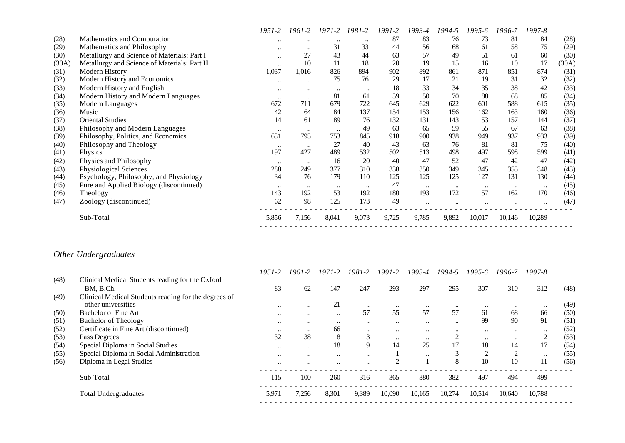|       |                                              | 1951-2               | 1961-2           | 1971-2           | 1981-2               | 1991-2 | 1993-4    | 1994-5    | 1995-6   | 1996-7    | 1997-8    |       |
|-------|----------------------------------------------|----------------------|------------------|------------------|----------------------|--------|-----------|-----------|----------|-----------|-----------|-------|
| (28)  | Mathematics and Computation                  | $\ddotsc$            | $\bullet\bullet$ | $\ddotsc$        | $\ddot{\phantom{0}}$ | 87     | 83        | 76        | 73       | 81        | 84        | (28)  |
| (29)  | Mathematics and Philosophy                   | $\ddotsc$            | $\bullet\bullet$ | 31               | 33                   | 44     | 56        | 68        | 61       | 58        | 75        | (29)  |
| (30)  | Metallurgy and Science of Materials: Part I  | $\ddotsc$            | 27               | 43               | 44                   | 63     | 57        | 49        | 51       | 61        | 60        | (30)  |
| (30A) | Metallurgy and Science of Materials: Part II | $\ddotsc$            | 10               | 11               | 18                   | 20     | 19        | 15        | 16       | 10        | 17        | (30A) |
| (31)  | Modern History                               | 1,037                | 1,016            | 826              | 894                  | 902    | 892       | 861       | 871      | 851       | 874       | (31)  |
| (32)  | Modern History and Economics                 | $\ddot{\phantom{0}}$ | $\bullet\bullet$ | 75               | 76                   | 29     | 17        | 21        | 19       | 31        | 32        | (32)  |
| (33)  | Modern History and English                   | $\bullet\bullet$     | $\bullet\bullet$ | $\bullet\bullet$ | $\ddotsc$            | 18     | 33        | 34        | 35       | 38        | 42        | (33)  |
| (34)  | Modern History and Modern Languages          | $\ddotsc$            | $\bullet\bullet$ | 81               | 61                   | 59     | 50        | 70        | 88       | 68        | 85        | (34)  |
| (35)  | Modern Languages                             | 672                  | 711              | 679              | 722                  | 645    | 629       | 622       | 601      | 588       | 615       | (35)  |
| (36)  | Music                                        | 42                   | 64               | 84               | 137                  | 154    | 153       | 156       | 162      | 163       | 160       | (36)  |
| (37)  | <b>Oriental Studies</b>                      | 14                   | 61               | 89               | 76                   | 132    | 131       | 143       | 153      | 157       | 144       | (37)  |
| (38)  | Philosophy and Modern Languages              | $\bullet\bullet$     | $\bullet\bullet$ | $\ddotsc$        | 49                   | 63     | 65        | 59        | 55       | -67       | 63        | (38)  |
| (39)  | Philosophy, Politics, and Economics          | 631                  | 795              | 753              | 845                  | 918    | 900       | 938       | 949      | 937       | 933       | (39)  |
| (40)  | Philosophy and Theology                      | $\ddotsc$            | $\cdot$          | 27               | 40                   | 43     | 63        | 76        | 81       | 81        | 75        | (40)  |
| (41)  | <b>Physics</b>                               | 197                  | 427              | 489              | 532                  | 502    | 513       | 498       | 497      | 598       | 599       | (41)  |
| (42)  | Physics and Philosophy                       | $\ddotsc$            | $\bullet\bullet$ | 16               | 20                   | 40     | 47        | 52        | 47       | 42        | 47        | (42)  |
| (43)  | Physiological Sciences                       | 288                  | 249              | 377              | 310                  | 338    | 350       | 349       | 345      | 355       | 348       | (43)  |
| (44)  | Psychology, Philosophy, and Physiology       | 34                   | 76               | 179              | 110                  | 125    | 125       | 125       | 127      | 131       | 130       | (44)  |
| (45)  | Pure and Applied Biology (discontinued)      | $\cdots$             |                  | $\ddotsc$        | $\bullet\bullet$     | 47     | $\ddotsc$ | $\ddotsc$ | $\ldots$ | $\ddotsc$ | $\ddotsc$ | (45)  |
| (46)  | Theology                                     | 143                  | 192              | 153              | 192                  | 180    | 193       | 172       | 157      | 162       | 170       | (46)  |
| (47)  | Zoology (discontinued)                       | 62                   | 98               | 125              | 173                  | 49     | $\ddotsc$ |           |          |           | $\ddotsc$ | (47)  |
|       | Sub-Total                                    | 5,856                | 7,156            | 8,041            | 9,073                | 9,725  | 9,785     | 9,892     | 10,017   | 10,146    | 10,289    |       |
|       |                                              |                      |                  |                  |                      |        |           |           |          |           |           |       |

# *Other Undergraduates*

|      |                                                      | $1951 - 2$ | 1961-2               | $1971 - 2$    | 1981-2               | $1991 - 2$       | $1993 - 4$ | 1994-5    | $1995 - 6$ | 1996-7         | 1997-8           |      |
|------|------------------------------------------------------|------------|----------------------|---------------|----------------------|------------------|------------|-----------|------------|----------------|------------------|------|
| (48) | Clinical Medical Students reading for the Oxford     |            |                      |               |                      |                  |            |           |            |                |                  |      |
|      | BM. B.Ch.                                            | 83         | 62                   | 147           | 247                  | 293              | 297        | 295       | 307        | 310            | 312              | (48) |
| (49) | Clinical Medical Students reading for the degrees of |            |                      |               |                      |                  |            |           |            |                |                  |      |
|      | other universities                                   | $\ddotsc$  | $\ddotsc$            | 21            | $\ddotsc$            | $\bullet\bullet$ | $\ddotsc$  | $\ddotsc$ | $\ddotsc$  | $\ddotsc$      | $\ddotsc$        | (49) |
| (50) | <b>Bachelor of Fine Art</b>                          | $\ddotsc$  | $\ddotsc$            | $\ddotsc$     | 57                   | 55               | 57         | 57        | 61         | 68             | 66               | (50) |
| (51) | <b>Bachelor of Theology</b>                          | $\ddotsc$  | $\ddotsc$            | $\ddotsc$     | $\ddotsc$            | $\ddotsc$        | $\ddotsc$  | $\ddotsc$ | 99         | 90             | 91               | (51) |
| (52) | Certificate in Fine Art (discontinued)               | $\ddotsc$  | $\ddotsc$            | 66            | $\ddotsc$            | $\ddotsc$        | $\ddotsc$  | $\ddotsc$ | $\ddotsc$  | $\ddotsc$      | $\bullet\bullet$ | (52) |
| (53) | Pass Degrees                                         | 32         | 38                   | 8             | 3                    | $\ddotsc$        | $\ddotsc$  |           | $\ddotsc$  | $\ddotsc$      | $\overline{c}$   | (53) |
| (54) | Special Diploma in Social Studies                    | $\ddotsc$  | $\ddotsc$            | 18            | 9                    | 14               | 25         | 17        | 18         | 14             | 17               | (54) |
| (55) | Special Diploma in Social Administration             | $\ddotsc$  | $\bullet\bullet$     | $\ddotsc$     | $\ddotsc$            |                  | $\ddotsc$  | 3         | 2          | $\overline{2}$ | $\ddotsc$        | (55) |
| (56) | Diploma in Legal Studies                             | $\ddotsc$  | $\ddot{\phantom{0}}$ | $\cdot \cdot$ | $\ddot{\phantom{0}}$ |                  |            | 8         | 10         | 10             | 11               | (56) |
|      | Sub-Total                                            | 115        | 100                  | 260           | 316                  | 365              | 380        | 382       | 497        | 494            | 499              |      |
|      | <b>Total Undergraduates</b>                          | 5,971      | 7,256                | 8,301         | 9,389                | 10,090           | 10,165     | 10,274    | 10,514     | 10,640         | 10.788           |      |
|      |                                                      |            |                      |               |                      |                  |            |           |            |                |                  |      |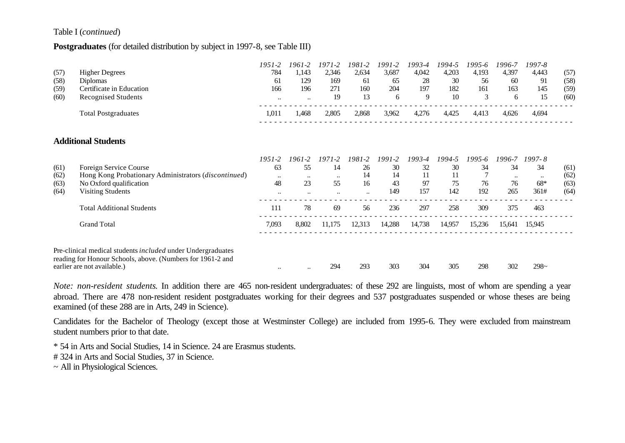#### Table I (*continued*)

#### **Postgraduates** (for detailed distribution by subject in 1997-8, see Table III)

|      |                                                                                                                                                          | $1951 - 2$       | 1961-2           | $1971 - 2$ | 1981-2    | 1991-2     | 1993-4 | 1994-5 | 1995-6     | 1996-7    | 1997-8           |      |
|------|----------------------------------------------------------------------------------------------------------------------------------------------------------|------------------|------------------|------------|-----------|------------|--------|--------|------------|-----------|------------------|------|
| (57) | <b>Higher Degrees</b>                                                                                                                                    | 784              | 1,143            | 2,346      | 2,634     | 3,687      | 4,042  | 4,203  | 4,193      | 4,397     | 4,443            | (57) |
| (58) | <b>Diplomas</b>                                                                                                                                          | 61               | 129              | 169        | 61        | 65         | 28     | 30     | 56         | 60        | 91               | (58) |
| (59) | Certificate in Education                                                                                                                                 | 166              | 196              | 271        | 160       | 204        | 197    | 182    | 161        | 163       | 145              | (59) |
| (60) | <b>Recognised Students</b>                                                                                                                               | $\ddotsc$        | $\ldots$         | 19         | 13        | 6          | 9      | 10     | 3          | 6         | 15               | (60) |
|      | <b>Total Postgraduates</b>                                                                                                                               | 1,011            | 1,468            | 2,805      | 2,868     | 3,962      | 4,276  | 4,425  | 4,413      | 4,626     | 4,694            |      |
|      | <b>Additional Students</b>                                                                                                                               |                  |                  |            |           |            |        |        |            |           |                  |      |
|      |                                                                                                                                                          |                  |                  |            |           |            |        |        |            |           |                  |      |
|      |                                                                                                                                                          | $1951 - 2$       | $1961 - 2$       | $1971 - 2$ | 1981-2    | $1991 - 2$ | 1993-4 | 1994-5 | $1995 - 6$ | 1996-7    | $1997 - 8$       |      |
| (61) | Foreign Service Course                                                                                                                                   | 63               | 55               | 14         | 26        | 30         | 32     | 30     | 34         | 34        | 34               | (61) |
| (62) | Hong Kong Probationary Administrators (discontinued)                                                                                                     | $\bullet\bullet$ | $\bullet\bullet$ | $\ddotsc$  | 14        | 14         | 11     | 11     |            | $\ddotsc$ | $\bullet\bullet$ | (62) |
| (63) | No Oxford qualification                                                                                                                                  | 48               | 23               | 55         | 16        | 43         | 97     | 75     | 76         | 76        | 68*              | (63) |
| (64) | <b>Visiting Students</b>                                                                                                                                 | $\ddotsc$        | $\bullet\bullet$ | $\ddotsc$  | $\ddotsc$ | 149        | 157    | 142    | 192        | 265       | 361#             | (64) |
|      | <b>Total Additional Students</b>                                                                                                                         | 111              | 78               | 69         | 56        | 236        | 297    | 258    | 309        | 375       | 463              |      |
|      | <b>Grand Total</b>                                                                                                                                       | 7,093            | 8,802            | 11,175     | 12,313    | 14,288     | 14,738 | 14,957 | 15,236     | 15,641    | 15,945           |      |
|      | Pre-clinical medical students included under Undergraduates<br>reading for Honour Schools, above. (Numbers for 1961-2 and<br>earlier are not available.) |                  |                  | 294        | 293       | 303        | 304    | 305    | 298        | 302       | $298-$           |      |
|      |                                                                                                                                                          | $\ddotsc$        | $\ddotsc$        |            |           |            |        |        |            |           |                  |      |

*Note: non-resident students*. In addition there are 465 non-resident undergraduates: of these 292 are linguists, most of whom are spending a year abroad. There are 478 non-resident resident postgraduates working for their degrees and 537 postgraduates suspended or whose theses are being examined (of these 288 are in Arts, 249 in Science).

Candidates for the Bachelor of Theology (except those at Westminster College) are included from 1995-6. They were excluded from mainstream student numbers prior to that date.

\* 54 in Arts and Social Studies, 14 in Science. 24 are Erasmus students.

# 324 in Arts and Social Studies, 37 in Science.

~ All in Physiological Sciences.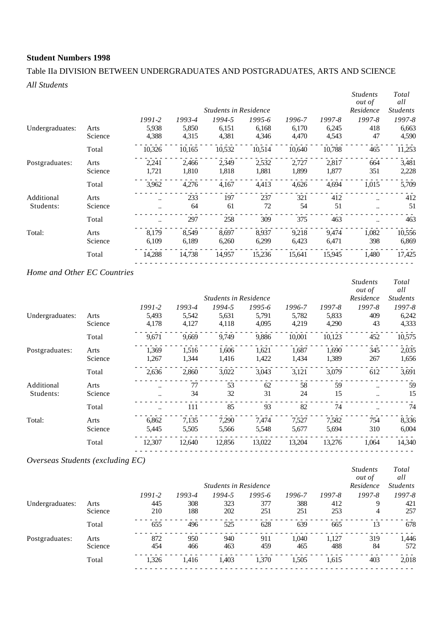# Table IIa DIVISION BETWEEN UNDERGRADUATES AND POSTGRADUATES, ARTS AND SCIENCE *All Students*

|                         |                 |                |                | <b>Students in Residence</b> |                |                |                | <b>Students</b><br><i>out of</i><br>Residence | Total<br>all<br><b>Students</b> |
|-------------------------|-----------------|----------------|----------------|------------------------------|----------------|----------------|----------------|-----------------------------------------------|---------------------------------|
|                         |                 | $1991 - 2$     | 1993-4         | 1994-5                       | 1995-6         | 1996-7         | 1997-8         | 1997-8                                        | 1997-8                          |
| Undergraduates:         | Arts<br>Science | 5,938<br>4,388 | 5,850<br>4,315 | 6,151<br>4,381               | 6,168<br>4,346 | 6,170<br>4,470 | 6,245<br>4,543 | 418<br>47                                     | 6,663<br>4,590                  |
|                         | Total           | 10,326         | 10,165         | 10,532                       | 10,514         | 10,640         | 10,788         | 465                                           | 11,253                          |
| Postgraduates:          | Arts<br>Science | 2,241<br>1,721 | 2,466<br>1,810 | 2,349<br>1,818               | 2,532<br>1,881 | 2,727<br>1,899 | 2,817<br>1,877 | 664<br>351                                    | 3,481<br>2,228                  |
|                         | Total           | 3,962          | 4,276          | 4,167                        | 4,413          | 4,626          | 4,694          | 1,015                                         | 5,709                           |
| Additional<br>Students: | Arts<br>Science | <br>$\ddotsc$  | 233<br>64      | 197<br>61                    | 237<br>72      | 321<br>54      | 412<br>51      | $\ddot{\phantom{a}}$<br>$\ddot{\phantom{a}}$  | 412<br>51                       |
|                         | Total           |                | 297            | 258                          | 309            | 375            | 463            |                                               | 463                             |
| Total:                  | Arts<br>Science | 8.179<br>6,109 | 8.549<br>6,189 | 8,697<br>6,260               | 8.937<br>6,299 | 9,218<br>6,423 | 9,474<br>6,471 | 1,082<br>398                                  | 10,556<br>6,869                 |
|                         | Total           | 14,288         | 14,738         | 14,957                       | 15,236         | 15,641         | 15,945         | 1,480                                         | 17,425                          |
|                         |                 |                |                |                              |                |                |                |                                               |                                 |

## *Home and Other EC Countries*

|         |            |        |        |        |                                       |            | <b>Students</b><br><i>out of</i> | Total<br>all    |
|---------|------------|--------|--------|--------|---------------------------------------|------------|----------------------------------|-----------------|
|         |            |        |        |        |                                       |            | Residence                        | <b>Students</b> |
|         | $1991 - 2$ | 1993-4 | 1994-5 | 1995-6 | 1996-7                                | $1997 - 8$ | 1997-8                           | 1997-8          |
| Arts    | 5,493      | 5,542  | 5,631  | 5,791  | 5,782                                 | 5,833      | 409                              | 6,242           |
| Science | 4,178      |        |        |        |                                       | 4,290      |                                  | 4,333           |
| Total   | 9,671      | 9,669  | 9,749  | 9,886  | 10,001                                | 10,123     | 452                              | 10,575          |
| Arts    | 1,369      | 1,516  | 1,606  | 1,621  | 1,687                                 | 1,690      | 345                              | 2,035           |
| Science | 1,267      | 1,344  | 1,416  | 1,422  | 1,434                                 | 1,389      | 267                              | 1,656           |
| Total   | 2,636      | 2,860  | 3,022  | 3,043  | 3,121                                 | 3,079      | 612                              | 3,691           |
| Arts    |            | 77     | 53     | 62     | 58                                    | 59         | $\ddotsc$                        | 59              |
| Science |            | 34     | 32     | 31     | 24                                    | 15         | $\ddotsc$                        | 15              |
| Total   |            | 111    | 85     | 93     | 82                                    | 74         |                                  | 74              |
| Arts    | 6.862      | 7,135  | 7,290  | 7,474  | 7,527                                 | 7,582      | 754                              | 8,336           |
| Science | 5,445      | 5,505  | 5,566  | 5,548  | 5,677                                 | 5,694      | 310                              | 6,004           |
| Total   | 12,307     | 12,640 | 12,856 | 13,022 | 13,204                                | 13,276     | 1,064                            | 14,340          |
|         |            |        | 4,127  | 4,118  | <b>Students in Residence</b><br>4,095 | 4,219      |                                  | 43              |

# *Overseas Students (excluding EC)*

|                 |         |            |        | <b>Students in Residence</b> |            |        |        | <b>Students</b><br><i>out of</i><br>Residence | Total<br>all<br><b>Students</b> |
|-----------------|---------|------------|--------|------------------------------|------------|--------|--------|-----------------------------------------------|---------------------------------|
|                 |         | $1991 - 2$ | 1993-4 | 1994-5                       | $1995 - 6$ | 1996-7 | 1997-8 | $1997 - 8$                                    | 1997-8                          |
| Undergraduates: | Arts    | 445        | 308    | 323                          | 377        | 388    | 412    | 9                                             | 421                             |
|                 | Science | 210        | 188    | 202                          | 251        | 251    | 253    | 4                                             | 257                             |
|                 | Total   | 655        | 496    | 525                          | 628        | 639    | 665    | 13                                            | 678                             |
| Postgraduates:  | Arts    | 872        | 950    | 940                          | 911        | 1.040  | 1,127  | 319                                           | 1,446                           |
|                 | Science | 454        | 466    | 463                          | 459        | 465    | 488    | 84                                            | 572                             |
|                 | Total   | 1,326      | 1.416  | 1.403                        | 1,370      | 1,505  | 1,615  | 403                                           | 2,018                           |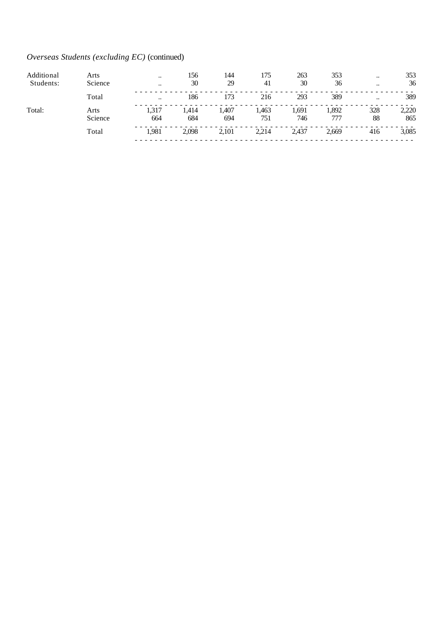# *Overseas Students (excluding EC)* (continued)

| Additional | Arts            | $\ddotsc$            | 156          | 144          | 175          | 263          | 353          | $\ddotsc$    | 353          |
|------------|-----------------|----------------------|--------------|--------------|--------------|--------------|--------------|--------------|--------------|
| Students:  | Science         | $\ddot{\phantom{0}}$ | 30           | 29           | 41           | 30           | 36           | $\cdot\cdot$ | 36           |
|            | Total           | $\ddotsc$            | 186          | 173          | 216          | 293          | 389          | $\ddotsc$    | 389          |
| Total:     | Arts<br>Science | 1,317<br>664         | 1.414<br>684 | l.407<br>694 | l.463<br>751 | 1,691<br>746 | 1,892<br>777 | 328<br>88    | 2,220<br>865 |
|            | Total           | 1.981                | 2.098        | 2,101        | 2,214        | 2,437        | 2,669        | 416          | 3,085        |
|            |                 |                      |              |              |              |              |              |              |              |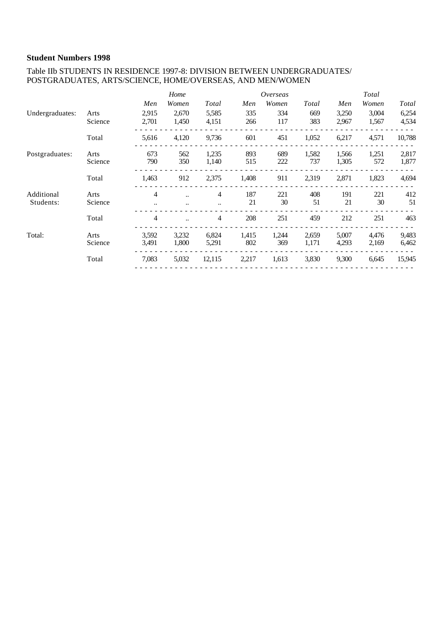#### Table IIb STUDENTS IN RESIDENCE 1997-8: DIVISION BETWEEN UNDERGRADUATES/ POSTGRADUATES, ARTS/SCIENCE, HOME/OVERSEAS, AND MEN/WOMEN

|                 |         |       | Home                 |           |       | Overseas |       |       | Total |        |
|-----------------|---------|-------|----------------------|-----------|-------|----------|-------|-------|-------|--------|
|                 |         | Men   | Women                | Total     | Men   | Women    | Total | Men   | Women | Total  |
| Undergraduates: | Arts    | 2,915 | 2,670                | 5,585     | 335   | 334      | 669   | 3,250 | 3,004 | 6,254  |
|                 | Science | 2,701 | 1,450                | 4,151     | 266   | 117      | 383   | 2,967 | 1,567 | 4,534  |
|                 | Total   | 5,616 | 4,120                | 9,736     | 601   | 451      | 1,052 | 6,217 | 4,571 | 10,788 |
| Postgraduates:  | Arts    | 673   | 562                  | 1,235     | 893   | 689      | 1,582 | 1,566 | 1,251 | 2,817  |
|                 | Science | 790   | 350                  | 1,140     | 515   | 222      | 737   | 1,305 | 572   | 1,877  |
|                 | Total   | 1,463 | 912                  | 2,375     | 1,408 | 911      | 2,319 | 2,871 | 1,823 | 4,694  |
| Additional      | Arts    | 4     | $\ddot{\phantom{a}}$ | 4         | 187   | 221      | 408   | 191   | 221   | 412    |
| Students:       | Science |       |                      | $\ddotsc$ | 21    | 30       | 51    | 21    | 30    | 51     |
|                 | Total   | 4     |                      | 4         | 208   | 251      | 459   | 212   | 251   | 463    |
| Total:          | Arts    | 3,592 | 3,232                | 6,824     | 1,415 | 1,244    | 2,659 | 5,007 | 4,476 | 9,483  |
|                 | Science | 3,491 | 1,800                | 5,291     | 802   | 369      | 1,171 | 4,293 | 2,169 | 6,462  |
|                 | Total   | 7,083 | 5,032                | 12,115    | 2,217 | 1,613    | 3,830 | 9,300 | 6,645 | 15,945 |
|                 |         |       |                      |           |       |          |       |       |       |        |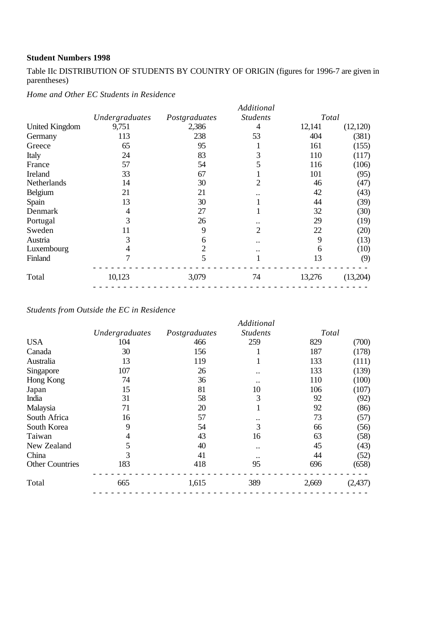Table IIc DISTRIBUTION OF STUDENTS BY COUNTRY OF ORIGIN (figures for 1996-7 are given in parentheses)

|                       |                |                | Additional           |        |          |
|-----------------------|----------------|----------------|----------------------|--------|----------|
|                       | Undergraduates | Postgraduates  | <b>Students</b>      | Total  |          |
| <b>United Kingdom</b> | 9,751          | 2,386          | 4                    | 12,141 | (12,120) |
| Germany               | 113            | 238            | 53                   | 404    | (381)    |
| Greece                | 65             | 95             |                      | 161    | (155)    |
| Italy                 | 24             | 83             | 3                    | 110    | (117)    |
| France                | 57             | 54             | 5                    | 116    | (106)    |
| Ireland               | 33             | 67             |                      | 101    | (95)     |
| Netherlands           | 14             | 30             | 2                    | 46     | (47)     |
| Belgium               | 21             | 21             |                      | 42     | (43)     |
| Spain                 | 13             | 30             |                      | 44     | (39)     |
| Denmark               | 4              | 27             |                      | 32     | (30)     |
| Portugal              | 3              | 26             |                      | 29     | (19)     |
| Sweden                | 11             | 9              | $\overline{2}$       | 22     | (20)     |
| Austria               | 3              | 6              | $\ddot{\phantom{0}}$ | 9      | (13)     |
| Luxembourg            | 4              | $\overline{2}$ | $\ddot{\phantom{0}}$ | 6      | (10)     |
| Finland               | 7              | 5              |                      | 13     | (9)      |
| Total                 | 10,123         | 3,079          | 74                   | 13,276 | (13,204) |

*Students from Outside the EC in Residence*

|                        |                |               | Additional           |       |          |
|------------------------|----------------|---------------|----------------------|-------|----------|
|                        | Undergraduates | Postgraduates | <b>Students</b>      | Total |          |
| <b>USA</b>             | 104            | 466           | 259                  | 829   | (700)    |
| Canada                 | 30             | 156           |                      | 187   | (178)    |
| Australia              | 13             | 119           |                      | 133   | (111)    |
| Singapore              | 107            | 26            | $\ddot{\phantom{0}}$ | 133   | (139)    |
| Hong Kong              | 74             | 36            |                      | 110   | (100)    |
| Japan                  | 15             | 81            | 10                   | 106   | (107)    |
| India                  | 31             | 58            | 3                    | 92    | (92)     |
| Malaysia               | 71             | 20            |                      | 92    | (86)     |
| South Africa           | 16             | 57            | . .                  | 73    | (57)     |
| South Korea            | 9              | 54            | 3                    | 66    | (56)     |
| Taiwan                 | 4              | 43            | 16                   | 63    | (58)     |
| New Zealand            | 5              | 40            | $\ddot{\phantom{0}}$ | 45    | (43)     |
| China                  | 3              | 41            |                      | 44    | (52)     |
| <b>Other Countries</b> | 183            | 418           | 95                   | 696   | (658)    |
| Total                  | 665            | 1,615         | 389                  | 2,669 | (2, 437) |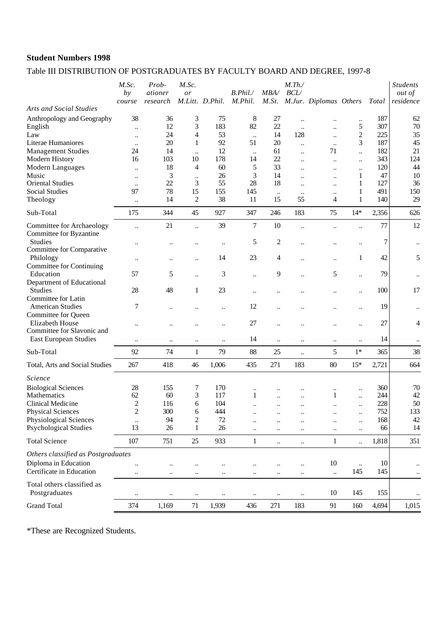# Table III DISTRIBUTION OF POSTGRADUATES BY FACULTY BOARD AND DEGREE, 1997-8

|                                                            | M.Sc.<br>by<br>course             | Prob-<br>ationer<br>research | M.Sc.<br><i>or</i>     | M.Litt. D.Phil.        | B. Phil.<br>M.Phil.    | MBA/                   | $M$ .Th./<br>BCL/                | M.St. M.Jur. Diplomas Others |                      | Total      | <b>Students</b><br><i>out of</i><br>residence |
|------------------------------------------------------------|-----------------------------------|------------------------------|------------------------|------------------------|------------------------|------------------------|----------------------------------|------------------------------|----------------------|------------|-----------------------------------------------|
| <b>Arts and Social Studies</b>                             |                                   |                              |                        |                        |                        |                        |                                  |                              |                      |            |                                               |
| Anthropology and Geography<br>English                      | 38<br>$\ddot{\phantom{a}}$        | 36<br>12                     | 3<br>3                 | 75<br>183              | $8\,$<br>82            | 27<br>22               | $\ldots$<br>$\ddot{\phantom{a}}$ | <br>$\ddot{\phantom{a}}$     | $\ddotsc$<br>5       | 187<br>307 | 62<br>70                                      |
| Law                                                        | $\ddot{\phantom{a}}$              | 24                           | 4                      | 53                     | $\ddotsc$              | 14                     | 128                              | $\ddot{\phantom{0}}$         | $\overline{c}$       | 225        | 35                                            |
| Literae Humaniores                                         | $\ddotsc$                         | 20                           | 1                      | 92                     | 51                     | 20                     | $\ddotsc$                        | $\ddotsc$                    | 3                    | 187        | 45                                            |
| <b>Management Studies</b>                                  | 24                                | 14                           | $\ddotsc$              | 12                     | $\ddotsc$              | 61                     | $\ldots$                         | 71                           | $\ddot{\phantom{a}}$ | 182        | 21                                            |
| Modern History                                             | 16                                | 103                          | 10                     | 178                    | 14                     | 22                     | $\ddot{\phantom{a}}$             | $\ddot{\phantom{a}}$         | $\ddot{\phantom{a}}$ | 343        | 124                                           |
| Modern Languages                                           |                                   | 18                           | $\overline{4}$         | 60                     | 5                      | 33                     |                                  |                              | $\ddot{\phantom{a}}$ | 120        | 44                                            |
| Music<br><b>Oriental Studies</b>                           | $\ddotsc$                         | 3<br>22                      | $\ldots$<br>3          | 26<br>55               | 3<br>28                | 14<br>18               | $\ddot{\phantom{a}}$             |                              | 1<br>1               | 47<br>127  | 10<br>36                                      |
| <b>Social Studies</b>                                      | $\ddot{\phantom{a}}$<br>97        | 78                           | 15                     | 155                    | 145                    |                        | $\ddot{\phantom{a}}$             |                              |                      | 491        | 150                                           |
| Theology                                                   | $\ddot{\phantom{0}}$              | 14                           | $\mathfrak{2}$         | 38                     | 11                     | $\ddotsc$<br>15        | $\ddotsc$<br>55                  | $\ddotsc$<br>4               | 1                    | 140        | 29                                            |
| Sub-Total                                                  | 175                               | 344                          | 45                     | 927                    | 347                    | 246                    | 183                              | 75                           | $14*$                | 2,356      | 626                                           |
|                                                            |                                   |                              |                        |                        |                        |                        |                                  |                              |                      |            |                                               |
| Committee for Archaeology<br>Committee for Byzantine       | $\ddot{\phantom{a}}$              | 21                           | $\ddot{\phantom{a}}$   | 39                     | $\tau$                 | 10                     | $\ddot{\phantom{a}}$             |                              | $\ddot{\phantom{a}}$ | 77         | 12                                            |
| <b>Studies</b><br>Committee for Comparative                |                                   |                              |                        | $\ddotsc$              | 5                      | $\mathfrak{2}$         |                                  |                              | $\ddotsc$            | 7          | $\ddotsc$                                     |
| Philology<br><b>Committee for Continuing</b>               |                                   | $\ddotsc$                    | $\ddotsc$              | 14                     | 23                     | 4                      |                                  |                              | 1                    | 42         | 5                                             |
| Education                                                  | 57                                | 5                            |                        | 3                      | $\ddotsc$              | 9                      | $\ddot{\phantom{0}}$             | 5                            | $\ddot{\phantom{a}}$ | 79         | $\ddotsc$                                     |
| Department of Educational<br>Studies                       | 28                                | 48                           | $\mathbf 1$            | 23                     | $\ddot{\phantom{a}}$   |                        |                                  |                              | $\ddot{\phantom{a}}$ | 100        | 17                                            |
| Committee for Latin<br><b>American Studies</b>             | 7                                 | $\ddot{\phantom{0}}$         |                        | $\ddotsc$              | 12                     |                        |                                  |                              | $\ddot{\phantom{a}}$ | 19         | $\ddotsc$                                     |
| Committee for Queen<br>Elizabeth House                     |                                   |                              |                        | $\ddot{\phantom{a}}$   | 27                     |                        |                                  |                              | $\ddot{\phantom{0}}$ | 27         | 4                                             |
| Committee for Slavonic and<br><b>East European Studies</b> | $\ddotsc$                         | $\ddotsc$                    | $\ddotsc$              | $\ddot{\phantom{0}}$   | 14                     | $\ddot{\phantom{a}}$   | $\ddotsc$                        | $\ddot{\phantom{0}}$         | $\ddot{\phantom{a}}$ | 14         | $\ddotsc$                                     |
| Sub-Total                                                  | 92                                | 74                           | $\mathbf{1}$           | 79                     | 88                     | 25                     | $\ldots$                         | 5                            | $1*$                 | 365        | 38                                            |
| Total, Arts and Social Studies                             | 267                               | 418                          | 46                     | 1,006                  | 435                    | 271                    | 183                              | 80                           | $15*$                | 2,721      | 664                                           |
| <i><u>Science</u></i>                                      |                                   |                              |                        |                        |                        |                        |                                  |                              |                      |            |                                               |
| <b>Biological Sciences</b>                                 | 28                                | 155                          | 7                      | 170                    |                        |                        |                                  |                              |                      | 360        | $-70$                                         |
| Mathematics                                                | 62                                | 60                           | 3                      | 117                    | 1                      |                        |                                  | 1                            | $\ddot{\phantom{a}}$ | 244        | 42                                            |
| Clinical Medicine                                          | $\overline{c}$                    | 116                          | 6                      | 104                    | $\ddot{\phantom{a}}$   | $\ddot{\phantom{a}}$   | $\ddot{\phantom{a}}$             | $\ddotsc$                    | $\ddotsc$            | 228        | 50                                            |
| <b>Physical Sciences</b>                                   | $\overline{c}$                    | 300                          | 6                      | 444                    | $\ddotsc$              |                        |                                  |                              | $\ddotsc$            | 752        | 133                                           |
| Physiological Sciences                                     |                                   | 94                           | $\overline{c}$         | 72                     | $\ddotsc$              |                        | $\ddot{\phantom{a}}$             |                              | $\ddot{\phantom{0}}$ | 168        | 42                                            |
| <b>Psychological Studies</b>                               | 13                                | 26                           | 1                      | 26                     |                        |                        | $\ddotsc$                        | $\ddotsc$                    | $\ddot{\phantom{a}}$ | 66         | 14                                            |
| <b>Total Science</b>                                       | 107                               | 751                          | 25                     | 933                    | $\mathbf{1}$           | $\ldots$               | $\ldots$                         | $\mathbf{1}$                 | $\ddotsc$            | 1,818      | 351                                           |
| Others classified as Postgraduates                         |                                   |                              |                        |                        |                        |                        |                                  |                              |                      |            |                                               |
| Diploma in Education<br>Certificate in Education           | $\ddot{\phantom{0}}$<br>$\ddotsc$ | $\ddotsc$<br>$\ldots$        | $\ddotsc$<br>$\ddotsc$ | $\ddotsc$<br>$\ddotsc$ | $\ddotsc$<br>$\ddotsc$ | $\ddotsc$<br>$\ddotsc$ | $\ddotsc$<br>$\ddotsc$           | 10<br>$\ddotsc$              | $\ldots$<br>145      | 10<br>145  | $\ddotsc$<br>$\ddotsc$                        |
| Total others classified as<br>Postgraduates                | $\ddotsc$                         | $\ldots$                     | $\ddotsc$              | $\ddotsc$              | $\ldots$               | $\ddotsc$              | $\ddotsc$                        | 10                           | 145                  | 155        |                                               |
| <b>Grand Total</b>                                         | 374                               |                              |                        |                        |                        |                        |                                  |                              |                      |            |                                               |
|                                                            |                                   | 1,169                        | 71                     | 1,939                  | 436                    | 271                    | 183                              | 91                           | 160                  | 4,694      | 1,015                                         |

\*These are Recognized Students.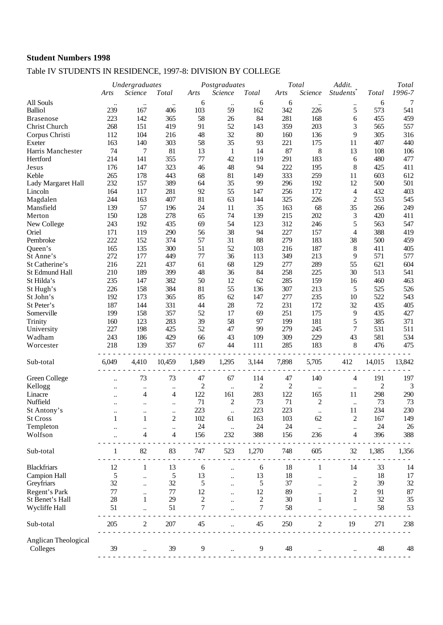# Table IV STUDENTS IN RESIDENCE, 1997-8: DIVISION BY COLLEGE

|                      |               | <b>Undergraduates</b> |                | Postgraduates  |                      |                | Total          | Addit.    |                         | Total          |        |
|----------------------|---------------|-----------------------|----------------|----------------|----------------------|----------------|----------------|-----------|-------------------------|----------------|--------|
|                      | Arts          | Science               | Total          | Arts           | Science              | Total          | Arts           | Science   | Students <sup>®</sup>   | Total          | 1996-7 |
| All Souls            | $\ddotsc$     | $\ddotsc$             | $\ddotsc$      | 6              | $\ldots$             | 6              | 6              | $\ddotsc$ | $\ddotsc$               | 6              | 7      |
| <b>Balliol</b>       | 239           | 167                   | 406            | 103            | 59                   | 162            | 342            | 226       | 5                       | 573            | 541    |
| <b>Brasenose</b>     | 223           | 142                   | 365            | 58             | 26                   | 84             | 281            | 168       | 6                       | 455            | 459    |
| Christ Church        | 268           | 151                   | 419            | 91             | 52                   | 143            | 359            | 203       | 3                       | 565            | 557    |
| Corpus Christi       | 112           | 104                   | 216            | 48             | 32                   | 80             | 160            | 136       | 9                       | 305            | 316    |
| Exeter               | 163           | 140                   | 303            | 58             | 35                   | 93             | 221            | 175       | 11                      | 407            | 440    |
| Harris Manchester    | 74            | 7                     | 81             | 13             | $\mathbf{1}$         | 14             | 87             | $8\,$     | 13                      | 108            | 106    |
| Hertford             | 214           | 141                   | 355            | 77             | 42                   | 119            | 291            | 183       | 6                       | 480            | 477    |
| Jesus                | 176           | 147                   | 323            | 46             | 48                   | 94             | 222            | 195       | 8                       | 425            | 411    |
| Keble                | 265           | 178                   | 443            | 68             | 81                   | 149            | 333            | 259       | 11                      | 603            | 612    |
| Lady Margaret Hall   | 232           | 157                   | 389            | 64             | 35                   | 99             | 296            | 192       | 12                      | 500            | 501    |
| Lincoln              | 164           | 117                   | 281            | 92             | 55                   | 147            | 256            | 172       | 4                       | 432            | 403    |
| Magdalen             | 244           | 163                   | 407            | 81             | 63                   | 144            | 325            | 226       | $\mathfrak{2}$          | 553            | 545    |
| Mansfield            | 139           | 57                    | 196            | $24\,$         | 11                   | 35             | 163            | 68        | 35                      | 266            | 249    |
| Merton               | 150           | 128                   | 278            | 65             | 74                   | 139            | 215            | 202       | 3                       | 420            | 411    |
| New College          | 243           | 192                   | 435            | 69             | 54                   | 123            | 312            | 246       | 5                       | 563            | 547    |
| Oriel                | 171           | 119                   | 290            | 56             | 38                   | 94             | 227            | 157       | 4                       | 388            | 419    |
| Pembroke             | 222           | 152                   | 374            | 57             | 31                   | 88             | 279            | 183       | 38                      | 500            | 459    |
| Queen's              | 165           | 135                   | 300            | 51             | 52                   | 103            | 216            | 187       | 8                       | 411            | 405    |
| St Anne's            | 272           | 177                   | 449            | 77             | 36                   | 113            | 349            | 213       | 9                       | 571            | 577    |
| St Catherine's       | 216           | 221                   | 437            | 61             | 68                   | 129            | 277            | 289       | 55                      | 621            | 604    |
| St Edmund Hall       | 210           | 189                   | 399            | 48             | 36                   | 84             | 258            | 225       | 30                      | 513            | 541    |
| St Hilda's           | 235           | 147                   | 382            | 50             | 12                   | 62             | 285            | 159       | 16                      | 460            | 463    |
| St Hugh's            | 226           | 158                   | 384            | 81             | 55                   | 136            | 307            | 213       | 5                       | 525            | 526    |
| St John's            | 192           | 173                   | 365            | 85             | 62                   | 147            | 277            | 235       | 10                      | 522            | 543    |
| St Peter's           | 187           | 144                   | 331            | 44             | 28                   | 72             | 231            | 172       | 32                      | 435            | 405    |
| Somerville           | 199           | 158                   | 357            | 52             | 17                   | 69             | 251            | 175       | 9                       | 435            | 427    |
| Trinity              | 160           | 123                   | 283            | 39             | 58                   | 97             | 199            | 181       | 5                       | 385            | 371    |
| University           | 227           | 198                   | 425            | 52             | 47                   | 99             | 279            | 245       | 7                       | 531            | 511    |
| Wadham               | 243           | 186                   | 429            | 66             | 43                   | 109            | 309            | 229       | 43                      | 581            | 534    |
| Worcester            | 218           | 139                   | 357            | 67             | 44                   | 111            | 285            | 183       | 8                       | 476            | 475    |
|                      |               |                       |                |                |                      |                |                |           |                         |                |        |
| Sub-total            | 6,049         | 4,410                 | 10,459         | 1,849          | 1,295                | 3,144          | 7,898          | 5,705     | 412                     | 14,015         | 13,842 |
| Green College        |               | 73                    | 73             | 47             | 67                   | 114            | 47             | 140       | 4                       | 191            | 197    |
| Kellogg              |               | $\ddotsc$             | $\ddotsc$      | $\mathfrak{2}$ | $\ddotsc$            | $\overline{c}$ | $\overline{c}$ | $\ddotsc$ | $\ldots$                | $\overline{c}$ | 3      |
| Linacre              |               | 4                     | 4              | 122            | 161                  | 283            | 122            | 165       | 11                      | 298            | 290    |
| Nuffield             |               | $\ddotsc$             | $\ddotsc$      | 71             | $\overline{c}$       | 73             | $71\,$         | 2         | $\ddotsc$               | 73             | 73     |
| St Antony's          |               |                       |                | 223            |                      | 223            | 223            |           | 11                      | 234            | 230    |
| <b>St Cross</b>      | 1             | 1                     | $\overline{c}$ | 102            | 61                   | 163            | 103            | 62        | 2                       | 167            | 149    |
| Templeton            |               |                       | $\ddotsc$      | $24\,$         | $\ddot{\phantom{1}}$ | 24             | 24             | $\ddotsc$ | $\ddotsc$               | 24             | 26     |
| Wolfson              |               | 4                     | 4              | 156            | 232                  | 388            | 156            | 236       | 4                       | 396            | 388    |
|                      |               |                       |                |                |                      |                |                |           |                         |                |        |
| Sub-total            |               | 82                    | 83             | 747            | 523                  | 1,270          | 748            | 605       | 32                      | 1,385          | 1,356  |
| <b>Blackfriars</b>   | 12            | 1                     | 13             | 6              |                      | 6              | 18             | 1         | 14                      | 33             | 14     |
| <b>Campion Hall</b>  | $\mathfrak s$ | $\ddot{\phantom{0}}$  | 5              | 13             |                      | 13             | 18             |           | $\ddotsc$               | 18             | 17     |
| Greyfriars           | 32            | $\ddot{\phantom{0}}$  | 32             | 5              |                      | 5              | 37             |           | $\overline{\mathbf{c}}$ | 39             | 32     |
| Regent's Park        | $77 \,$       | $\ddot{\phantom{a}}$  | $77$           | 12             |                      | 12             | 89             |           | $\overline{c}$          | 91             | 87     |
| St Benet's Hall      | 28            | 1                     | 29             | 2              |                      | 2              | 30             | 1         | 1                       | 32             | 35     |
| Wycliffe Hall        | 51            |                       | 51             | 7              |                      | 7              | 58             |           |                         | 58             | 53     |
| Sub-total            | 205           | 2                     | 207            | 45             |                      | 45             | 250            | 2         | 19                      | 271            | 238    |
| Anglican Theological |               |                       |                |                |                      |                |                |           |                         |                |        |
| Colleges             | 39            |                       | 39             | 9              |                      | 9              | 48             |           |                         | 48             | 48     |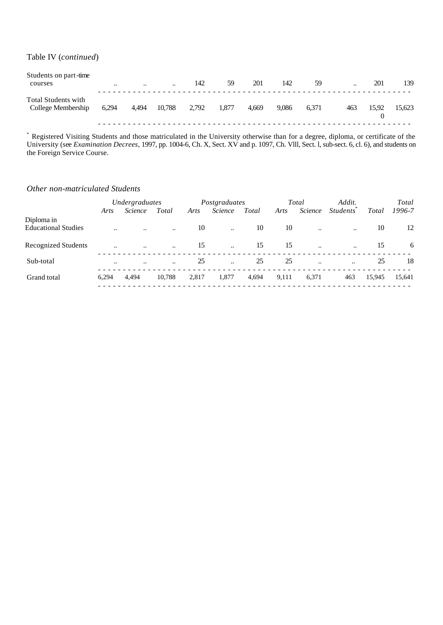#### Table IV (*continued*)

| Students on part-time<br>courses                 | $\ddotsc$ | $\cdot\cdot$ | $\ddotsc$ | 142   | 59    | 201   | 142   | 59    | $\cdot\cdot$ | 201   | 139    |
|--------------------------------------------------|-----------|--------------|-----------|-------|-------|-------|-------|-------|--------------|-------|--------|
| <b>Total Students with</b><br>College Membership | 6,294     | 4,494        | 10,788    | 2,792 | 1.877 | 4.669 | 9.086 | 6.371 | 463          | 15.92 | 15,623 |

\* Registered Visiting Students and those matriculated in the University otherwise than for a degree, diploma, or certificate of the University (see *Examination Decrees,* 1997, pp. 1004-6, Ch. X, Sect. XV and p. 1097, Ch. Vlll, Sect. l, sub-sect. 6, cl. 6), and students on the Foreign Service Course.

#### *Other non-matriculated Students*

|                                          |                      | Undergraduates |                      |       | Postgraduates  |       |       | Total          | Addit.                       |              | Total  |
|------------------------------------------|----------------------|----------------|----------------------|-------|----------------|-------|-------|----------------|------------------------------|--------------|--------|
|                                          | Arts                 | <i>Science</i> | Total                | Arts  | <i>Science</i> | Total | Arts  | <i>Science</i> | <i>Students</i> <sup>®</sup> | <b>Total</b> | 1996-7 |
| Diploma in<br><b>Educational Studies</b> | $\ddot{\phantom{a}}$ |                | $\ddot{\phantom{a}}$ | 10    | $\ddotsc$      | 10    | 10    | $\ddotsc$      |                              | 10           | 12     |
| <b>Recognized Students</b>               | $\ddotsc$            | $\ddotsc$      | $\ddotsc$            | 15    | $\ddotsc$      | 15    | 15    | $\ddotsc$      | $\ddotsc$                    | 15           | 6      |
| Sub-total                                | $\ddotsc$            | $\ddotsc$      | $\ddotsc$            | 25    | $\ddotsc$      | 25    | 25    | $\ddotsc$      | $\ddotsc$                    | 25           | 18     |
| Grand total                              | 6.294                | 4.494          | 10,788               | 2,817 | 1,877          | 4,694 | 9,111 | 6,371          | 463                          | 15,945       | 15,641 |
|                                          |                      |                |                      |       |                |       |       |                |                              |              |        |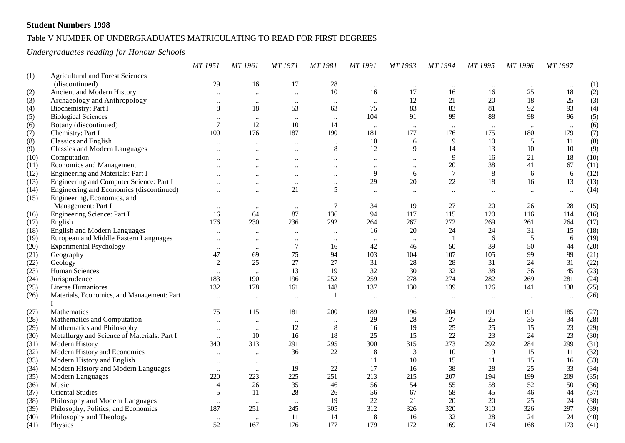### Table V NUMBER OF UNDERGRADUATES MATRICULATING TO READ FOR FIRST DEGREES

*Undergraduates reading for Honour Schools*

|      |                                             | MT 1951                   | MT 1961                   | MT 1971                   | MT 1981   | MT 1991              | MT 1993   | MT 1994              | MT 1995   | MT 1996   | MT 1997  |      |
|------|---------------------------------------------|---------------------------|---------------------------|---------------------------|-----------|----------------------|-----------|----------------------|-----------|-----------|----------|------|
| (1)  | <b>Agricultural and Forest Sciences</b>     |                           |                           |                           |           |                      |           |                      |           |           |          |      |
|      | (discontinued)                              | 29                        | 16                        | 17                        | $28\,$    | $\ddot{\phantom{0}}$ | $\ldots$  | $\ddotsc$            | $\ddotsc$ | $\ddotsc$ |          | (1)  |
| (2)  | Ancient and Modern History                  | $\ddotsc$                 | $\ddot{\phantom{a}}$      | $\ddotsc$                 | $10\,$    | 16                   | 17        | 16                   | 16        | 25        | 18       | (2)  |
| (3)  | Archaeology and Anthropology                | $\ddotsc$                 | $\ddot{\phantom{0}}\cdot$ | $\ddot{\phantom{0}}\cdot$ | $\ddotsc$ | $\ddotsc$            | 12        | 21                   | 20        | 18        | 25       | (3)  |
| (4)  | Biochemistry: Part I                        | $8\,$                     | 18                        | 53                        | 63        | 75                   | 83        | 83                   | 81        | 92        | 93       | (4)  |
| (5)  | <b>Biological Sciences</b>                  | $\ldots$                  | $\ldots$                  | $\ddotsc$                 | $\ldots$  | 104                  | 91        | 99                   | 88        | 98        | 96       | (5)  |
| (6)  | Botany (discontinued)                       | $\overline{7}$            | 12                        | 10                        | 14        |                      |           |                      | $\ddotsc$ |           |          | (6)  |
| (7)  | Chemistry: Part I                           | 100                       | 176                       | 187                       | 190       | 181                  | 177       | 176                  | 175       | 180       | 179      | (7)  |
| (8)  | <b>Classics and English</b>                 | $\ldots$                  | $\ldots$                  | $\ldots$                  | $\ldots$  | 10                   | 6         | 9                    | 10        | 5         | 11       | (8)  |
| (9)  | <b>Classics and Modern Languages</b>        | $\ddot{\phantom{a}}$      |                           | $\ddotsc$                 | $\,8\,$   | 12                   | 9         | 14                   | 13        | 10        | 10       | (9)  |
| (10) | Computation                                 | $\ddotsc$                 | $\ddot{\phantom{0}}\cdot$ | $\ddotsc$                 | $\ddotsc$ | $\ddot{\phantom{0}}$ | $\ddotsc$ | $\mathbf{Q}$         | 16        | 21        | 18       | (10) |
| (11) | <b>Economics and Management</b>             | $\ddot{\phantom{a}}$      | $\ddot{\phantom{a}}$      | $\ddotsc$                 | $\ddotsc$ | $\ddot{\phantom{a}}$ | $\ddotsc$ | 20                   | 38        | 41        | 67       | (11) |
| (12) | Engineering and Materials: Part I           |                           |                           | $\ddotsc$                 | $\ddotsc$ | 9                    | 6         | $\overline{7}$       | $\,8\,$   | 6         | 6        | (12) |
| (13) | Engineering and Computer Science: Part I    | $\ddotsc$                 | $\ddotsc$                 | $\ddotsc$                 | $\ddotsc$ | 29                   | $20\,$    | 22                   | 18        | 16        | 13       | (13) |
| (14) | Engineering and Economics (discontinued)    | $\ddot{\phantom{a}}$      | $\ddot{\phantom{0}}\cdot$ | 21                        | 5         | $\ddot{\phantom{a}}$ | $\ddotsc$ | $\ddot{\phantom{a}}$ | $\ddotsc$ | $\ddotsc$ | $\ldots$ | (14) |
| (15) | Engineering, Economics, and                 |                           |                           |                           |           |                      |           |                      |           |           |          |      |
|      | Management: Part I                          | $\ddotsc$                 | $\ddot{\phantom{0}}\cdot$ | $\cdot\cdot$              | $\tau$    | 34                   | 19        | 27                   | 20        | 26        | 28       | (15) |
| (16) | Engineering Science: Part I                 | 16                        | 64                        | 87                        | 136       | 94                   | 117       | 115                  | 120       | 116       | 114      | (16) |
| (17) | English                                     | 176                       | 230                       | 236                       | 292       | 264                  | 267       | 272                  | 269       | 261       | 264      | (17) |
| (18) | <b>English and Modern Languages</b>         | $\ddot{\phantom{0}}$      | $\ddot{\phantom{0}}\cdot$ |                           | $\ddotsc$ | 16                   | 20        | 24                   | 24        | 31        | 15       | (18) |
| (19) | European and Middle Eastern Languages       | $\ddot{\phantom{0}}$      | $\ddot{\phantom{0}}\cdot$ | $\ddotsc$                 | $\ddotsc$ | $\ddotsc$            | $\ddots$  |                      | 6         | 5         | 6        | (19) |
| (20) | <b>Experimental Psychology</b>              | $\ddotsc$                 | $\ddotsc$                 | $\overline{7}$            | 16        | 42                   | 46        | 50                   | 39        | 50        | 44       | (20) |
| (21) | Geography                                   | 47                        | 69                        | 75                        | 94        | 103                  | 104       | 107                  | 105       | 99        | 99       | (21) |
| (22) | Geology                                     | $\overline{2}$            | 25                        | 27                        | 27        | 31                   | 28        | 28                   | 31        | 24        | 31       | (22) |
| (23) | Human Sciences                              |                           |                           | 13                        | 19        | 32                   | 30        | 32                   | 38        | 36        | 45       | (23) |
| (24) | Jurisprudence                               | $\ddotsc$<br>183          | $\ddotsc$<br>190          | 196                       | 252       | 259                  | 278       | 274                  | 282       | 269       | 281      | (24) |
| (25) | Literae Humaniores                          | 132                       | 178                       | 161                       | 148       | 137                  | 130       | 139                  | 126       | 141       | 138      | (25) |
| (26) | Materials, Economics, and Management: Part  | $\ddotsc$                 |                           |                           | -1        | $\ddot{\phantom{0}}$ |           | $\ddotsc$            |           | $\ddotsc$ |          | (26) |
|      | T                                           |                           | $\ddotsc$                 | $\ddotsc$                 |           |                      | $\ddotsc$ |                      | $\ldots$  |           | $\ldots$ |      |
| (27) | Mathematics                                 | 75                        | 115                       | 181                       | 200       | 189                  | 196       | 204                  | 191       | 191       | 185      | (27) |
| (28) | Mathematics and Computation                 | $\ldots$                  | $\ddotsc$                 | $\ldots$                  | $\ldots$  | 29                   | 28        | 27                   | $25\,$    | 35        | 34       | (28) |
| (29) | Mathematics and Philosophy                  | $\ddotsc$                 | $\ddotsc$                 | 12                        | 8         | 16                   | 19        | 25                   | 25        | 15        | 23       | (29) |
| (30) | Metallurgy and Science of Materials: Part I | $\ddotsc$                 | 10                        | 16                        | $18\,$    | 25                   | 15        | 22                   | 23        | 24        | 23       | (30) |
| (31) | Modern History                              | 340                       | 313                       | 291                       | 295       | 300                  | 315       | 273                  | 292       | 284       | 299      | (31) |
| (32) | Modern History and Economics                | $\ddot{\phantom{a}}$      | $\ddot{\phantom{a}}$      | 36                        | 22        | 8                    | 3         | 10                   | 9         | 15        | 11       | (32) |
| (33) | Modern History and English                  | $\ddotsc$                 | $\ddot{\phantom{0}}$      | $\ddot{\phantom{0}}\cdot$ | $\ddotsc$ | 11                   | 10        | 15                   | 11        | 15        | 16       | (33) |
| (34) | Modern History and Modern Languages         | $\ddotsc$                 | $\ddotsc$                 | 19                        | 22        | 17                   | 16        | 38                   | 28        | 25        | 33       | (34) |
| (35) | Modern Languages                            | 220                       | 223                       | 225                       | 251       | 213                  | 215       | 207                  | 194       | 199       | 209      | (35) |
| (36) | Music                                       | 14                        | 26                        | 35                        | 46        | 56                   | 54        | 55                   | 58        | 52        | 50       | (36) |
| (37) | <b>Oriental Studies</b>                     | 5                         | 11                        | 28                        | 26        | 56                   | 67        | 58                   | 45        | 46        | 44       | (37) |
| (38) | Philosophy and Modern Languages             | $\ddot{\phantom{0}}\cdot$ |                           | $\ddotsc$                 | 19        | 22                   | 21        | 20                   | 20        | 25        | 24       | (38) |
| (39) | Philosophy, Politics, and Economics         | 187                       | 251                       | 245                       | 305       | 312                  | 326       | 320                  | 310       | 326       | 297      | (39) |
| (40) | Philosophy and Theology                     | $\ddotsc$                 | $\ddotsc$                 | 11                        | 14        | 18                   | 16        | 32                   | 28        | 24        | 24       | (40) |
| (41) | Physics                                     | 52                        | 167                       | 176                       | 177       | 179                  | 172       | 169                  | 174       | 168       | 173      | (41) |